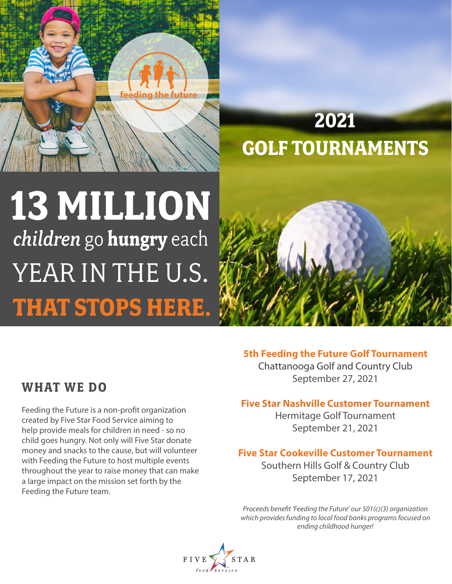

# **2021 GOLF TOURNAMENTS**

# 13 MILLION children go hungry each YEAR IN THE U.S. **THAT STOPS HERE.**



#### **5th Feeding the Future Golf Tournament**

**WHAT WE DO**

Feeding the Future is a non-profit organization created by Five Star Food Service aiming to help provide meals for children in need - so no child goes hungry. Not only will Five Star donate money and snacks to the cause, but will volunteer with Feeding the Future to host multiple events throughout the year to raise money that can make a large impact on the mission set forth by the Feeding the Future team.

Chattanooga Golf and Country Club September 27, 2021

#### **Five Star Nashville Customer Tournament**

Hermitage Golf Tournament September 21, 2021

#### **Five Star Cookeville Customer Tournament**

Southern Hills Golf & Country Club September 17, 2021

*Proceeds benefit 'Feeding the Future' our 501(c)(3) organization which provides funding to local food banks programs focused on ending childhood hunger!*

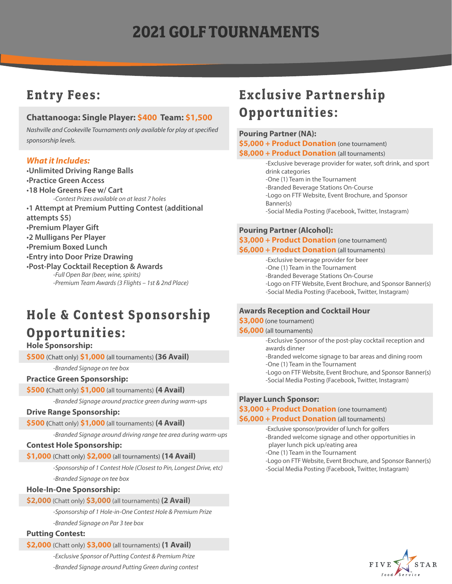# **2021 GOLF TOURNAMENTS**

### **Entry Fees:**

#### **Chattanooga: Single Player: \$400 Team: \$1,500**

*Nashville and Cookeville Tournaments only available for play at specified sponsorship levels.*

#### *What it Includes:*

•**Unlimited Driving Range Balls** •**Practice Green Access** •**18 Hole Greens Fee w/ Cart** *-Contest Prizes available on at least 7 holes* •**1 Attempt at Premium Putting Contest (additional attempts \$5)** •**Premium Player Gift** •**2 Mulligans Per Player** •**Premium Boxed Lunch** •**Entry into Door Prize Drawing** •**Post-Play Cocktail Reception & Awards**  *-Full Open Bar (beer, wine, spirits) -Premium Team Awards (3 Flights – 1st & 2nd Place)*

### **Hole & Contest Sponsorship**

### **Opportunities:**

**Hole Sponsorship:** 

**\$500** (Chatt only) **\$1,000** (all tournaments) **(36 Avail)**

*-Branded Signage on tee box*

#### **Practice Green Sponsorship:**

**\$500 (**Chatt only) **\$1,000** (all tournaments) **(4 Avail)**

*-Branded Signage around practice green during warm-ups*

#### **Drive Range Sponsorship:**

**\$500 (**Chatt only) **\$1,000** (all tournaments) **(4 Avail)**

*-Branded Signage around driving range tee area during warm-ups*

#### **Contest Hole Sponsorship:**

**\$1,000** (Chatt only) **\$2,000** (all tournaments) **(14 Avail)**

*-Sponsorship of 1 Contest Hole (Closest to Pin, Longest Drive, etc) -Branded Signage on tee box*

#### **Hole-In-One Sponsorship:**

#### **\$2,000** (Chatt only) **\$3,000** (all tournaments) **(2 Avail)**

*-Sponsorship of 1 Hole-in-One Contest Hole & Premium Prize*

*-Branded Signage on Par 3 tee box*

#### **Putting Contest:**

**\$2,000** (Chatt only) **\$3,000** (all tournaments) **(1 Avail)**

*-Exclusive Sponsor of Putting Contest & Premium Prize -Branded Signage around Putting Green during contest*

## **Exclusive Partnership Opportunities:**

#### **Pouring Partner (NA):**

**\$5,000 + Product Donation** (one tournament)

**\$8,000 + Product Donation** (all tournaments)

-Exclusive beverage provider for water, soft drink, and sport drink categories -One (1) Team in the Tournament -Branded Beverage Stations On-Course -Logo on FTF Website, Event Brochure, and Sponsor

Banner(s)

-Social Media Posting (Facebook, Twitter, Instagram)

#### **Pouring Partner (Alcohol):**

#### \$3,000 + Product Donation (one tournament)

#### **\$6,000 + Product Donation** (all tournaments)

-Exclusive beverage provider for beer

-One (1) Team in the Tournament

- -Branded Beverage Stations On-Course
- -Logo on FTF Website, Event Brochure, and Sponsor Banner(s)

#### -Social Media Posting (Facebook, Twitter, Instagram)

#### **Awards Reception and Cocktail Hour**

#### **\$3,000** (one tournament)

**\$6,000** (all tournaments)

-Exclusive Sponsor of the post-play cocktail reception and awards dinner

- -Branded welcome signage to bar areas and dining room -One (1) Team in the Tournament
- -Logo on FTF Website, Event Brochure, and Sponsor Banner(s)
- -Social Media Posting (Facebook, Twitter, Instagram)

#### **Player Lunch Sponsor:**

#### **\$3,000 + Product Donation** (one tournament)

#### **\$6,000 + Product Donation** (all tournaments)

- -Exclusive sponsor/provider of lunch for golfers
- -Branded welcome signage and other opportunities in
- player lunch pick up/eating area
- -One (1) Team in the Tournament
- -Logo on FTF Website, Event Brochure, and Sponsor Banner(s)
- -Social Media Posting (Facebook, Twitter, Instagram)